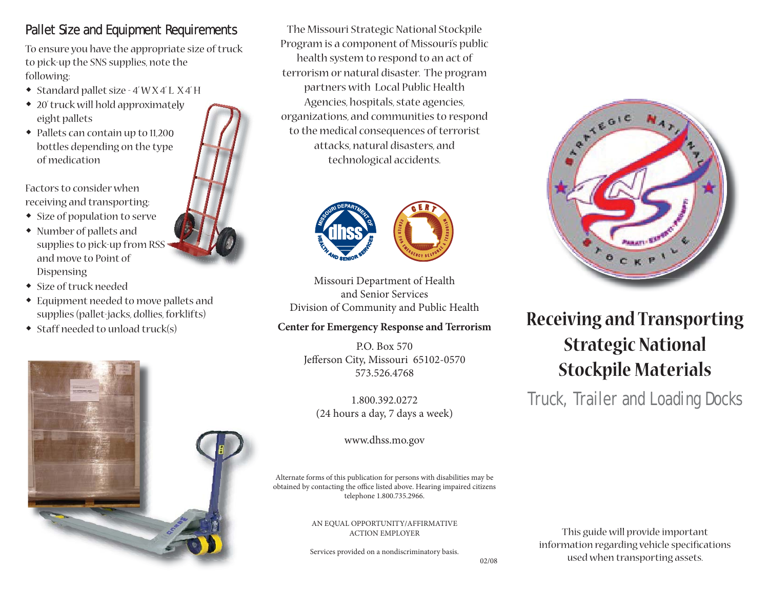## Pallet Size and Equipment Requirements

To ensure you have the appropriate size of truck to pick-up the SNS supplies, note the following:

- Standard pallet size 4' W X 4' L X 4' H
- 20' truck will hold approximately eight pallets
- Pallets can contain up to 11,200 bottles depending on the type of medication

Factors to consider when receiving and transporting:

- Size of population to serve
- Number of pallets and supplies to pick-up from RSS and move to Point of Dispensing
- Size of truck needed
- Equipment needed to move pallets and supplies (pallet-jacks, dollies, forklifts)
- 



The Missouri Strategic National Stockpile Program is a component of Missouri's public health system to respond to an act of terrorism or natural disaster. The program partners with Local Public Health Agencies, hospitals, state agencies, organizations, and communities to respond to the medical consequences of terrorist attacks, natural disasters, and technological accidents.



Missouri Department of Health and Senior ServicesDivision of Community and Public Health

#### **Center for Emergency Response and Terrorism**

P.O. Box 570Jefferson City, Missouri 65102-0570 573.526.4768

1.800.392.0272(24 hours a day, 7 days a week)

www.dhss.mo.gov

Alternate forms of this publication for persons with disabilities may be obtained by contacting the office listed above. Hearing impaired citizens telephone 1.800.735.2966.

> AN EQUAL OPPORTUNITY/AFFIRMATIVE ACTION EMPLOYER

> Services provided on a nondiscriminatory basis.

02/08



# supplies (pallet-jacks, dollies, forklifts)<br> **Receiving and Transporting**<br> **Receiving and Transporting Strategic National Stockpile Materials**

*Truck, Trailer and Loading Docks*

This guide will provide important information regarding vehicle specifications used when transporting assets.